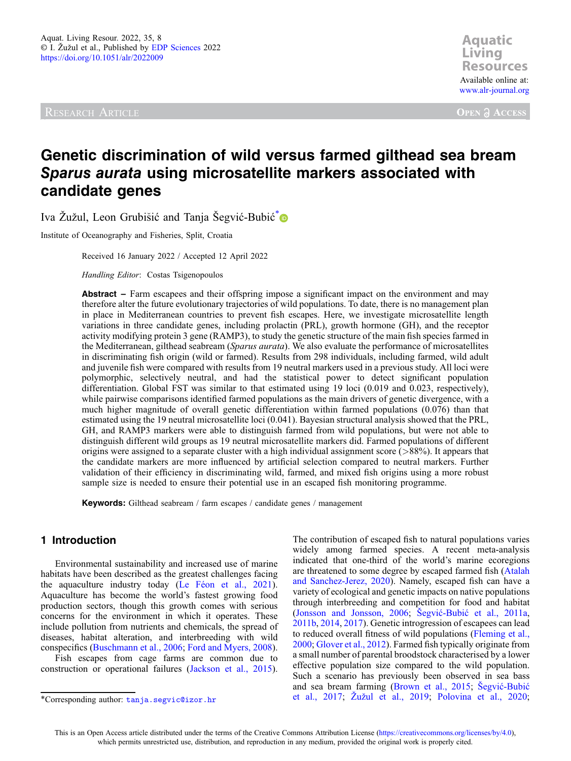**Aquatic Resources Resources** Available online at: [www.alr-journal.org](https://www.alr-journal.org)

**OPEN A ACCESS** 

# Genetic discrimination of wild versus farmed gilthead sea bream Sparus aurata using microsatellite markers associated with candidate genes

Iva Žužul, Leon Grubišić and Tanja Šegvić-Bubić<sup>\*</sup>

Institute of Oceanography and Fisheries, Split, Croatia

Received 16 January 2022 / Accepted 12 April 2022

Handling Editor: Costas Tsigenopoulos

Abstract – Farm escapees and their offspring impose a significant impact on the environment and may therefore alter the future evolutionary trajectories of wild populations. To date, there is no management plan in place in Mediterranean countries to prevent fish escapes. Here, we investigate microsatellite length variations in three candidate genes, including prolactin (PRL), growth hormone (GH), and the receptor activity modifying protein 3 gene (RAMP3), to study the genetic structure of the main fish species farmed in the Mediterranean, gilthead seabream (Sparus aurata). We also evaluate the performance of microsatellites in discriminating fish origin (wild or farmed). Results from 298 individuals, including farmed, wild adult and juvenile fish were compared with results from 19 neutral markers used in a previous study. All loci were polymorphic, selectively neutral, and had the statistical power to detect significant population differentiation. Global FST was similar to that estimated using 19 loci (0.019 and 0.023, respectively), while pairwise comparisons identified farmed populations as the main drivers of genetic divergence, with a much higher magnitude of overall genetic differentiation within farmed populations (0.076) than that estimated using the 19 neutral microsatellite loci (0.041). Bayesian structural analysis showed that the PRL, GH, and RAMP3 markers were able to distinguish farmed from wild populations, but were not able to distinguish different wild groups as 19 neutral microsatellite markers did. Farmed populations of different origins were assigned to a separate cluster with a high individual assignment score (>88%). It appears that the candidate markers are more influenced by artificial selection compared to neutral markers. Further validation of their efficiency in discriminating wild, farmed, and mixed fish origins using a more robust sample size is needed to ensure their potential use in an escaped fish monitoring programme.

Keywords: Gilthead seabream / farm escapes / candidate genes / management

## 1 Introduction

Environmental sustainability and increased use of marine habitats have been described as the greatest challenges facing the aquaculture industry today ([Le Féon et al., 2021](#page-7-0)). Aquaculture has become the world's fastest growing food production sectors, though this growth comes with serious concerns for the environment in which it operates. These include pollution from nutrients and chemicals, the spread of diseases, habitat alteration, and interbreeding with wild conspecifics ([Buschmann et al., 2006;](#page-6-0) [Ford and Myers, 2008](#page-6-0)).

Fish escapes from cage farms are common due to construction or operational failures [\(Jackson et al., 2015](#page-6-0)).

The contribution of escaped fish to natural populations varies widely among farmed species. A recent meta-analysis indicated that one-third of the world's marine ecoregions are threatened to some degree by escaped farmed fish [\(Atalah](#page-6-0) [and Sanchez-Jerez, 2020](#page-6-0)). Namely, escaped fish can have a variety of ecological and genetic impacts on native populations through interbreeding and competition for food and habitat ([Jonsson and Jonsson, 2006](#page-6-0); Šegvić-Bubić [et al., 2011a](#page-7-0), [2011b](#page-7-0), [2014](#page-7-0), [2017\)](#page-7-0). Genetic introgression of escapees can lead to reduced overall fitness of wild populations [\(Fleming et al.,](#page-6-0) [2000](#page-6-0); [Glover et al., 2012\)](#page-6-0). Farmed fish typically originate from a small number of parental broodstock characterised by a lower effective population size compared to the wild population. Such a scenario has previously been observed in sea bass and sea bream farming ([Brown et al., 2015](#page-6-0); Šegvić[-Bubi](#page-7-0)ć \*Corresponding author: tanja.segvic@izor.hr [et al., 2017](#page-7-0); Žuž[ul et al., 2019;](#page-7-0) [Polovina et al., 2020;](#page-7-0)

This is an Open Access article distributed under the terms of the Creative Commons Attribution License [\(https://creativecommons.org/licenses/by/4.0\)](http://creativecommons.org/licenses/by/4.0), which permits unrestricted use, distribution, and reproduction in any medium, provided the original work is properly cited.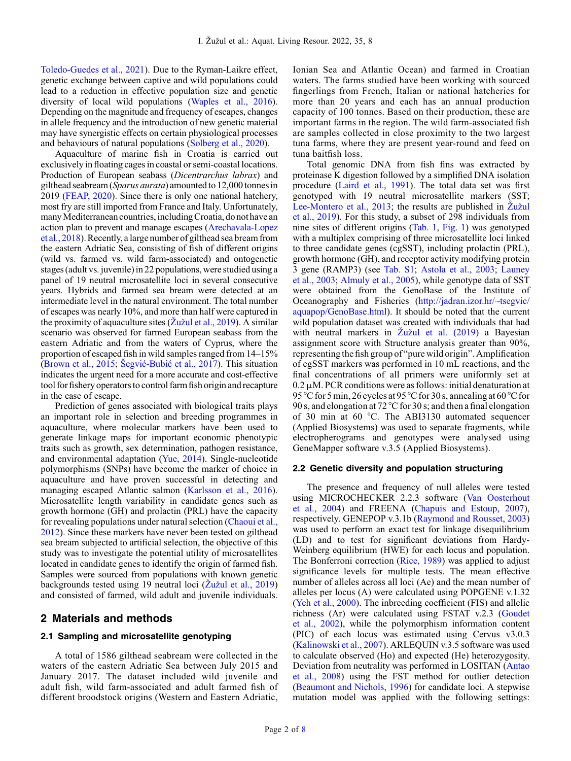[Toledo-Guedes et al., 2021\)](#page-7-0). Due to the Ryman-Laikre effect, genetic exchange between captive and wild populations could lead to a reduction in effective population size and genetic diversity of local wild populations [\(Waples et al., 2016](#page-7-0)). Depending on the magnitude and frequency of escapes, changes in allele frequency and the introduction of new genetic material may have synergistic effects on certain physiological processes and behaviours of natural populations [\(Solberg et al., 2020\)](#page-7-0).

Aquaculture of marine fish in Croatia is carried out exclusively in floating cages in coastal or semi-coastal locations. Production of European seabass (Dicentrarchus labrax) and gilthead seabream (Sparus aurata) amountedto 12,000 tonnes in 2019 [\(FEAP, 2020\)](#page-6-0). Since there is only one national hatchery, most fry are still imported from France and Italy. Unfortunately, many Mediterranean countries, including Croatia, do not have an action plan to prevent and manage escapes [\(Arechavala-Lopez](#page-6-0) [et al., 2018](#page-6-0)). Recently, a large number of gilthead sea bream from the eastern Adriatic Sea, consisting of fish of different origins (wild vs. farmed vs. wild farm-associated) and ontogenetic stages (adult vs. juvenile) in 22 populations, were studied using a panel of 19 neutral microsatellite loci in several consecutive years. Hybrids and farmed sea bream were detected at an intermediate level in the natural environment. The total number of escapes was nearly 10%, and more than half were captured in the proximity of aquaculture sites ( $\bar{Z}$ už[ul et al., 2019\)](#page-7-0). A similar scenario was observed for farmed European seabass from the eastern Adriatic and from the waters of Cyprus, where the proportion of escaped fish in wild samples ranged from 14–15% ([Brown et al., 2015](#page-6-0); Šegvić-Bubić [et al., 2017\)](#page-7-0). This situation indicates the urgent need for a more accurate and cost-effective tool forfishery operatorsto control farmfish origin and recapture in the case of escape.

Prediction of genes associated with biological traits plays an important role in selection and breeding programmes in aquaculture, where molecular markers have been used to generate linkage maps for important economic phenotypic traits such as growth, sex determination, pathogen resistance, and environmental adaptation [\(Yue, 2014](#page-7-0)). Single-nucleotide polymorphisms (SNPs) have become the marker of choice in aquaculture and have proven successful in detecting and managing escaped Atlantic salmon ([Karlsson et al., 2016](#page-7-0)). Microsatellite length variability in candidate genes such as growth hormone (GH) and prolactin (PRL) have the capacity for revealing populations under natural selection ([Chaoui et al.,](#page-6-0) [2012](#page-6-0)). Since these markers have never been tested on gilthead sea bream subjected to artificial selection, the objective of this study was to investigate the potential utility of microsatellites located in candidate genes to identify the origin of farmed fish. Samples were sourced from populations with known genetic backgrounds tested using 19 neutral loci (Žuž[ul et al., 2019\)](#page-7-0) and consisted of farmed, wild adult and juvenile individuals.

## 2 Materials and methods

## 2.1 Sampling and microsatellite genotyping

A total of 1586 gilthead seabream were collected in the waters of the eastern Adriatic Sea between July 2015 and January 2017. The dataset included wild juvenile and adult fish, wild farm-associated and adult farmed fish of different broodstock origins (Western and Eastern Adriatic, Ionian Sea and Atlantic Ocean) and farmed in Croatian waters. The farms studied have been working with sourced fingerlings from French, Italian or national hatcheries for more than 20 years and each has an annual production capacity of 100 tonnes. Based on their production, these are important farms in the region. The wild farm-associated fish are samples collected in close proximity to the two largest tuna farms, where they are present year-round and feed on tuna baitfish loss.

Total genomic DNA from fish fins was extracted by proteinase K digestion followed by a simplified DNA isolation procedure [\(Laird et al., 1991\)](#page-7-0). The total data set was first genotyped with 19 neutral microsatellite markers (SST; [Lee-Montero et al., 2013](#page-6-0); the results are published in Žuž[ul](#page-7-0) [et al., 2019\)](#page-7-0). For this study, a subset of 298 individuals from nine sites of different origins [\(Tab. 1,](#page-2-0) [Fig. 1\)](#page-2-0) was genotyped with a multiplex comprising of three microsatellite loci linked to three candidate genes (cgSST), including prolactin (PRL), growth hormone (GH), and receptor activity modifying protein 3 gene (RAMP3) (see [Tab. S1;](#page-2-0) [Astola et al., 2003](#page-6-0); [Launey](#page-7-0) [et al., 2003](#page-7-0); [Almuly et al., 2005](#page-5-0)), while genotype data of SST were obtained from the GenoBase of the Institute of Oceanography and Fisheries ([http://jadran.izor.hr/~tsegvic/](http://jadran.izor.hr/~tsegvic/aquapop/GenoBase.html) [aquapop/GenoBase.html\)](http://jadran.izor.hr/~tsegvic/aquapop/GenoBase.html). It should be noted that the current wild population dataset was created with individuals that had with neutral markers in Žuž[ul et al. \(2019\)](#page-7-0) a Bayesian assignment score with Structure analysis greater than 90%, representing the fish group of "pure wild origin". Amplification of cgSST markers was performed in 10 mL reactions, and the final concentrations of all primers were uniformly set at  $0.2 \mu$ M. PCR conditions were as follows: initial denaturation at 95 °C for 5 min, 26 cycles at 95 °C for 30 s, annealing at 60 °C for 90 s, and elongation at 72 °C for 30 s; and then a final elongation of 30 min at 60 °C. The ABI3130 automated sequencer (Applied Biosystems) was used to separate fragments, while electropherograms and genotypes were analysed using GeneMapper software v.3.5 (Applied Biosystems).

#### 2.2 Genetic diversity and population structuring

The presence and frequency of null alleles were tested using MICROCHECKER 2.2.3 software [\(Van Oosterhout](#page-7-0) [et al., 2004](#page-7-0)) and FREENA ([Chapuis and Estoup, 2007\)](#page-6-0), respectively. GENEPOP v.3.1b [\(Raymond and Rousset, 2003](#page-7-0)) was used to perform an exact test for linkage disequilibrium (LD) and to test for significant deviations from Hardy-Weinberg equilibrium (HWE) for each locus and population. The Bonferroni correction [\(Rice, 1989](#page-7-0)) was applied to adjust significance levels for multiple tests. The mean effective number of alleles across all loci (Ae) and the mean number of alleles per locus (A) were calculated using POPGENE v.1.32 ([Yeh et al., 2000\)](#page-7-0). The inbreeding coefficient (FIS) and allelic richness (Ar) were calculated using FSTAT v.2.3 [\(Goudet](#page-6-0) [et al., 2002](#page-6-0)), while the polymorphism information content (PIC) of each locus was estimated using Cervus v3.0.3 ([Kalinowski et al., 2007\)](#page-6-0). ARLEQUIN v.3.5 software was used to calculate observed (Ho) and expected (He) heterozygosity. Deviation from neutrality was performed in LOSITAN [\(Antao](#page-6-0) [et al., 2008\)](#page-6-0) using the FST method for outlier detection ([Beaumont and Nichols, 1996](#page-6-0)) for candidate loci. A stepwise mutation model was applied with the following settings: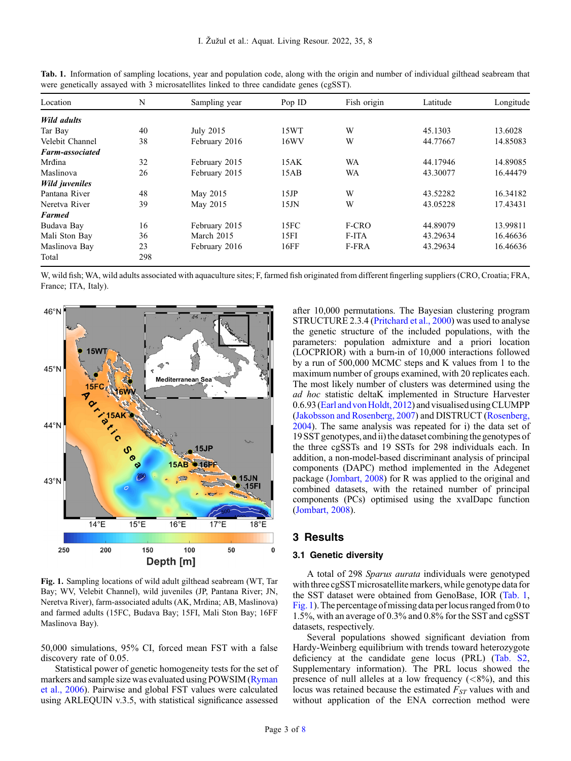| Location<br>N          |     | Sampling year | Pop ID | Fish origin | Latitude | Longitude |  |
|------------------------|-----|---------------|--------|-------------|----------|-----------|--|
| <b>Wild adults</b>     |     |               |        |             |          |           |  |
| Tar Bay                | 40  | July 2015     | 15WT   | W           | 45.1303  | 13.6028   |  |
| Velebit Channel        | 38  | February 2016 | 16WV   | W           | 44.77667 | 14.85083  |  |
| <b>Farm-associated</b> |     |               |        |             |          |           |  |
| Mrđina                 | 32  | February 2015 | 15AK   | WA          | 44.17946 | 14.89085  |  |
| Maslinova              | 26  | February 2015 | 15AB   | WA          | 43.30077 | 16.44479  |  |
| <b>Wild juveniles</b>  |     |               |        |             |          |           |  |
| Pantana River          | 48  | May 2015      | 15JP   | W           | 43.52282 | 16.34182  |  |
| Neretva River          | 39  | May 2015      | 15JN   | W           | 43.05228 | 17.43431  |  |
| <b>Farmed</b>          |     |               |        |             |          |           |  |
| Budava Bay             | 16  | February 2015 | 15FC   | F-CRO       | 44.89079 | 13.99811  |  |
| Mali Ston Bay          | 36  | March 2015    | 15FI   | F-ITA       | 43.29634 | 16.46636  |  |
| Maslinova Bay          | 23  | February 2016 | 16FF   | F-FRA       | 43.29634 | 16.46636  |  |
| Total                  | 298 |               |        |             |          |           |  |

<span id="page-2-0"></span>Tab. 1. Information of sampling locations, year and population code, along with the origin and number of individual gilthead seabream that were genetically assayed with 3 microsatellites linked to three candidate genes (cgSST).

W, wild fish; WA, wild adults associated with aquaculture sites; F, farmed fish originated from different fingerling suppliers (CRO, Croatia; FRA, France; ITA, Italy).



Fig. 1. Sampling locations of wild adult gilthead seabream (WT, Tar Bay; WV, Velebit Channel), wild juveniles (JP, Pantana River; JN, Neretva River), farm-associated adults (AK, Mrdina; AB, Maslinova) and farmed adults (15FC, Budava Bay; 15FI, Mali Ston Bay; 16FF Maslinova Bay).

50,000 simulations, 95% CI, forced mean FST with a false discovery rate of 0.05.

Statistical power of genetic homogeneity tests for the set of markers and sample size was evaluated using POWSIM ([Ryman](#page-7-0) [et al., 2006\)](#page-7-0). Pairwise and global FST values were calculated using ARLEQUIN v.3.5, with statistical significance assessed after 10,000 permutations. The Bayesian clustering program STRUCTURE 2.3.4 [\(Pritchard et al., 2000\)](#page-7-0) was used to analyse the genetic structure of the included populations, with the parameters: population admixture and a priori location (LOCPRIOR) with a burn-in of 10,000 interactions followed by a run of 500,000 MCMC steps and K values from 1 to the maximum number of groups examined, with 20 replicates each. The most likely number of clusters was determined using the ad hoc statistic deltaK implemented in Structure Harvester 0.6.93 (Earl and von Holdt, 2012) and visualised using CLUMPP ([Jakobsson and Rosenberg, 2007](#page-6-0)) and DISTRUCT [\(Rosenberg,](#page-7-0) [2004](#page-7-0)). The same analysis was repeated for i) the data set of 19 SST genotypes, and ii) the dataset combining the genotypes of the three cgSSTs and 19 SSTs for 298 individuals each. In addition, a non-model-based discriminant analysis of principal components (DAPC) method implemented in the Adegenet package ([Jombart, 2008](#page-6-0)) for R was applied to the original and combined datasets, with the retained number of principal components (PCs) optimised using the xvalDapc function ([Jombart, 2008](#page-6-0)).

## 3 Results

#### 3.1 Genetic diversity

A total of 298 Sparus aurata individuals were genotyped with three cgSST microsatellite markers, while genotype data for the SST dataset were obtained from GenoBase, IOR (Tab. 1, Fig. 1). The percentage of missing data per locus ranged from 0 to 1.5%, with an average of 0.3% and 0.8% for the SST and cgSST datasets, respectively.

Several populations showed significant deviation from Hardy-Weinberg equilibrium with trends toward heterozygote deficiency at the candidate gene locus (PRL) [\(Tab. S2](#page-3-0), Supplementary information). The PRL locus showed the presence of null alleles at a low frequency  $(<8\%)$ , and this locus was retained because the estimated  $F_{ST}$  values with and without application of the ENA correction method were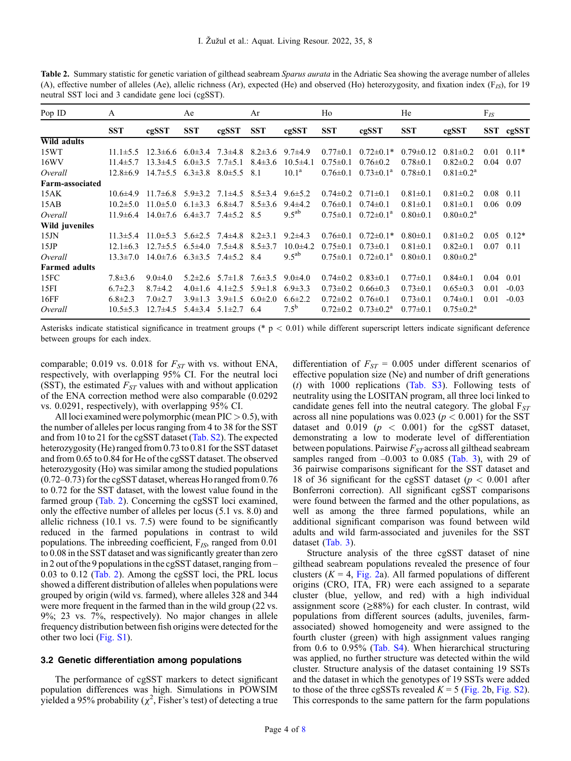| Pop ID                 | A              |                                                              | Ae            |                             | Ar                       |                | Ho             |                        | He              |                           | $F_{IS}$    |           |
|------------------------|----------------|--------------------------------------------------------------|---------------|-----------------------------|--------------------------|----------------|----------------|------------------------|-----------------|---------------------------|-------------|-----------|
|                        | <b>SST</b>     | cgSST                                                        | <b>SST</b>    | cgSST                       | <b>SST</b>               | cgSST          | <b>SST</b>     | cgSST                  | <b>SST</b>      | cgSST                     |             | SST cgSST |
| Wild adults            |                |                                                              |               |                             |                          |                |                |                        |                 |                           |             |           |
| 15WT                   | $11.1 \pm 5.5$ | $12.3\pm6.6$ $6.0\pm3.4$ $7.3\pm4.8$ $8.2\pm3.6$ $9.7\pm4.9$ |               |                             |                          |                | $0.77 \pm 0.1$ | $0.72 \pm 0.1*$        | $0.79 \pm 0.12$ | $0.81 \pm 0.2$            | 0.01        | $0.11*$   |
| 16WV                   | $11.4 \pm 5.7$ | $13.3 \pm 4.5$                                               | $6.0 \pm 3.5$ | $7.7 \pm 5.1$               | $8.4 \pm 3.6$            | $10.5 \pm 4.1$ | $0.75 \pm 0.1$ | $0.76 \pm 0.2$         | $0.78 \pm 0.1$  | $0.82 \pm 0.2$            | 0.04        | 0.07      |
| Overall                | $12.8 \pm 6.9$ | $14.7 \pm 5.5$                                               | $6.3 \pm 3.8$ | $8.0 \pm 5.5$               | 8.1                      | $10.1^{\rm a}$ | $0.76 \pm 0.1$ | $0.73 \pm 0.1^{\circ}$ | $0.78 \pm 0.1$  | $0.81 \pm 0.2^a$          |             |           |
| <b>Farm-associated</b> |                |                                                              |               |                             |                          |                |                |                        |                 |                           |             |           |
| 15AK                   | $10.6{\pm}4.9$ | $11.7\pm 6.8$ 5.9 $\pm 3.2$                                  |               |                             | $7.1\pm4.5$ 8.5 $\pm3.4$ | $9.6 \pm 5.2$  | $0.74 \pm 0.2$ | $0.71 \pm 0.1$         | $0.81 \pm 0.1$  | $0.81 \pm 0.2$            | $0.08$ 0.11 |           |
| 15AB                   | $10.2 \pm 5.0$ | $11.0 \pm 5.0$                                               | $6.1 \pm 3.3$ | $6.8{\pm}4.7$               | $8.5 \pm 3.6$            | $9.4 \pm 4.2$  | $0.76 \pm 0.1$ | $0.74 \pm 0.1$         | $0.81 \pm 0.1$  | $0.81 \pm 0.1$            | 0.06        | 0.09      |
| Overall                | $11.9 \pm 6.4$ | $14.0\pm7.6$ 6.4 $\pm3.7$ 7.4 $\pm5.2$ 8.5                   |               |                             |                          | $9.5^{ab}$     | $0.75 \pm 0.1$ | $0.72 \pm 0.1^{\circ}$ | $0.80 \pm 0.1$  | $0.80 \pm 0.2^{\text{a}}$ |             |           |
| Wild juveniles         |                |                                                              |               |                             |                          |                |                |                        |                 |                           |             |           |
| 15JN                   | $11.3 \pm 5.4$ | $11.0\pm5.3$ $5.6\pm2.5$ $7.4\pm4.8$                         |               |                             | $8.2 \pm 3.1$            | $9.2\pm4.3$    | $0.76 \pm 0.1$ | $0.72\pm0.1*$          | $0.80 \pm 0.1$  | $0.81 \pm 0.2$            | 0.05        | $0.12*$   |
| 15JP                   | $12.1 \pm 6.3$ | $12.7 \pm 5.5$                                               | $6.5{\pm}4.0$ | $7.5 \pm 4.8$               | $8.5 \pm 3.7$            | $10.0 + 4.2$   | $0.75 \pm 0.1$ | $0.73 \pm 0.1$         | $0.81 \pm 0.1$  | $0.82 \pm 0.1$            | 0.07        | 0.11      |
| Overall                | $13.3 \pm 7.0$ | $14.0 \pm 7.6$                                               | $6.3 \pm 3.5$ | $7.4 \pm 5.2$ 8.4           |                          | $9.5^{ab}$     | $0.75 \pm 0.1$ | $0.72 \pm 0.1^a$       | $0.80 \pm 0.1$  | $0.80 \pm 0.2^{\text{a}}$ |             |           |
| <b>Farmed adults</b>   |                |                                                              |               |                             |                          |                |                |                        |                 |                           |             |           |
| 15FC                   | $7.8 \pm 3.6$  | $9.0 \pm 4.0$                                                |               | $5.2 \pm 2.6$ $5.7 \pm 1.8$ | $7.6 \pm 3.5$            | $9.0 \pm 4.0$  | $0.74 \pm 0.2$ | $0.83 \pm 0.1$         | $0.77 \pm 0.1$  | $0.84 \pm 0.1$            | 0.04        | 0.01      |
| 15FI                   | $6.7 \pm 2.3$  | $8.7\pm4.2$                                                  | $4.0 \pm 1.6$ | $4.1 \pm 2.5$               | $5.9 \pm 1.8$            | $6.9 \pm 3.3$  | $0.73 \pm 0.2$ | $0.66 \pm 0.3$         | $0.73 \pm 0.1$  | $0.65 \pm 0.3$            | 0.01        | $-0.03$   |
| 16FF                   | $6.8 \pm 2.3$  | $7.0 \pm 2.7$                                                | $3.9 \pm 1.3$ | $3.9 \pm 1.5$               | $6.0 \pm 2.0$            | $6.6 \pm 2.2$  | $0.72 \pm 0.2$ | $0.76 \pm 0.1$         | $0.73 \pm 0.1$  | $0.74 \pm 0.1$            | 0.01        | $-0.03$   |
| Overall                | $10.5 \pm 5.3$ | $12.7\pm4.5$                                                 | $5.4 \pm 3.4$ | $5.1 \pm 2.7$               | 6.4                      | $7.5^{b}$      | $0.72 \pm 0.2$ | $0.73 \pm 0.2^a$       | $0.77 \pm 0.1$  | $0.75 \pm 0.2^{\text{a}}$ |             |           |
|                        |                |                                                              |               |                             |                          |                |                |                        |                 |                           |             |           |

<span id="page-3-0"></span>Table 2. Summary statistic for genetic variation of gilthead seabream Sparus aurata in the Adriatic Sea showing the average number of alleles (A), effective number of alleles (Ae), allelic richness (Ar), expected (He) and observed (Ho) heterozygosity, and fixation index ( $F_{LS}$ ), for 19 neutral SST loci and 3 candidate gene loci (cgSST).

Asterisks indicate statistical significance in treatment groups (\*  $p < 0.01$ ) while different superscript letters indicate significant deference between groups for each index.

comparable; 0.019 vs. 0.018 for  $F_{ST}$  with vs. without ENA, respectively, with overlapping 95% CI. For the neutral loci (SST), the estimated  $F_{ST}$  values with and without application of the ENA correction method were also comparable (0.0292 vs. 0.0291, respectively), with overlapping 95% CI.

All loci examined were polymorphic (mean  $\text{PIC} > 0.5$ ), with the number of alleles per locus ranging from 4 to 38 for the SST and from 10 to 21 for the cgSST dataset (Tab. S2). The expected heterozygosity (He) ranged from 0.73 to 0.81 for the SST dataset and from 0.65 to 0.84 for He of the cgSST dataset. The observed heterozygosity (Ho) was similar among the studied populations (0.72–0.73) for the cgSST dataset, whereas Ho ranged from 0.76 to 0.72 for the SST dataset, with the lowest value found in the farmed group (Tab. 2). Concerning the cgSST loci examined, only the effective number of alleles per locus (5.1 vs. 8.0) and allelic richness (10.1 vs. 7.5) were found to be significantly reduced in the farmed populations in contrast to wild populations. The inbreeding coefficient,  $F_{IS}$ , ranged from 0.01 to 0.08 in the SST dataset and was significantly greater than zero in 2 out of the 9 populations in the cgSST dataset, ranging from – 0.03 to 0.12 (Tab. 2). Among the cgSST loci, the PRL locus showed a different distribution of alleles when populations were grouped by origin (wild vs. farmed), where alleles 328 and 344 were more frequent in the farmed than in the wild group (22 vs. 9%; 23 vs. 7%, respectively). No major changes in allele frequency distribution between fish origins were detected for the other two loci ([Fig. S1](#page-2-0)).

#### 3.2 Genetic differentiation among populations

The performance of cgSST markers to detect significant population differences was high. Simulations in POWSIM yielded a 95% probability ( $\chi^2$ , Fisher's test) of detecting a true

differentiation of  $F_{ST} = 0.005$  under different scenarios of effective population size (Ne) and number of drift generations (t) with 1000 replications [\(Tab. S3](#page-4-0)). Following tests of neutrality using the LOSITAN program, all three loci linked to candidate genes fell into the neutral category. The global  $F_{ST}$ across all nine populations was  $0.023$  ( $p < 0.001$ ) for the SST dataset and  $0.019$  ( $p < 0.001$ ) for the cgSST dataset, demonstrating a low to moderate level of differentiation between populations. Pairwise  $F_{ST}$  across all gilthead seabream samples ranged from  $-0.003$  to 0.085 [\(Tab. 3\)](#page-4-0), with 29 of 36 pairwise comparisons significant for the SST dataset and 18 of 36 significant for the cgSST dataset ( $p < 0.001$  after Bonferroni correction). All significant cgSST comparisons were found between the farmed and the other populations, as well as among the three farmed populations, while an additional significant comparison was found between wild adults and wild farm-associated and juveniles for the SST dataset ([Tab. 3](#page-4-0)).

Structure analysis of the three cgSST dataset of nine gilthead seabream populations revealed the presence of four clusters ( $K = 4$ , [Fig. 2](#page-4-0)a). All farmed populations of different origins (CRO, ITA, FR) were each assigned to a separate cluster (blue, yellow, and red) with a high individual assignment score  $(>88\%)$  for each cluster. In contrast, wild populations from different sources (adults, juveniles, farmassociated) showed homogeneity and were assigned to the fourth cluster (green) with high assignment values ranging from 0.6 to 0.95% ([Tab. S4](#page-4-0)). When hierarchical structuring was applied, no further structure was detected within the wild cluster. Structure analysis of the dataset containing 19 SSTs and the dataset in which the genotypes of 19 SSTs were added to those of the three cgSSTs revealed  $K = 5$  ([Fig. 2b](#page-4-0), [Fig. S2\)](#page-4-0). This corresponds to the same pattern for the farm populations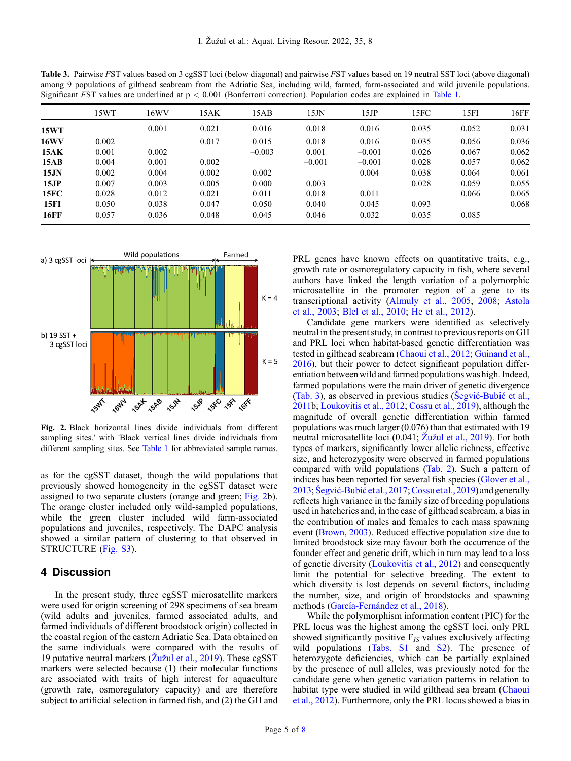<span id="page-4-0"></span>Table 3. Pairwise FST values based on 3 cgSST loci (below diagonal) and pairwise FST values based on 19 neutral SST loci (above diagonal) among 9 populations of gilthead seabream from the Adriatic Sea, including wild, farmed, farm-associated and wild juvenile populations. Significant FST values are underlined at p < 0.001 (Bonferroni correction). Population codes are explained in [Table 1.](#page-2-0)

|             | 15WT  | 16WV  | 15AK  | 15AB     | 15JN     | 15JP     | 15FC  | 15FI  | 16FF  |
|-------------|-------|-------|-------|----------|----------|----------|-------|-------|-------|
| 15WT        |       | 0.001 | 0.021 | 0.016    | 0.018    | 0.016    | 0.035 | 0.052 | 0.031 |
| <b>16WV</b> | 0.002 |       | 0.017 | 0.015    | 0.018    | 0.016    | 0.035 | 0.056 | 0.036 |
| 15AK        | 0.001 | 0.002 |       | $-0.003$ | 0.001    | $-0.001$ | 0.026 | 0.067 | 0.062 |
| 15AB        | 0.004 | 0.001 | 0.002 |          | $-0.001$ | $-0.001$ | 0.028 | 0.057 | 0.062 |
| 15JN        | 0.002 | 0.004 | 0.002 | 0.002    |          | 0.004    | 0.038 | 0.064 | 0.061 |
| 15JP        | 0.007 | 0.003 | 0.005 | 0.000    | 0.003    |          | 0.028 | 0.059 | 0.055 |
| 15FC        | 0.028 | 0.012 | 0.021 | 0.011    | 0.018    | 0.011    |       | 0.066 | 0.065 |
| <b>15FI</b> | 0.050 | 0.038 | 0.047 | 0.050    | 0.040    | 0.045    | 0.093 |       | 0.068 |
| <b>16FF</b> | 0.057 | 0.036 | 0.048 | 0.045    | 0.046    | 0.032    | 0.035 | 0.085 |       |



Fig. 2. Black horizontal lines divide individuals from different sampling sites.' with 'Black vertical lines divide individuals from different sampling sites. See [Table 1](#page-2-0) for abbreviated sample names.

as for the cgSST dataset, though the wild populations that previously showed homogeneity in the cgSST dataset were assigned to two separate clusters (orange and green; Fig. 2b). The orange cluster included only wild-sampled populations, while the green cluster included wild farm-associated populations and juveniles, respectively. The DAPC analysis showed a similar pattern of clustering to that observed in STRUCTURE (Fig. S3).

## 4 Discussion

In the present study, three cgSST microsatellite markers were used for origin screening of 298 specimens of sea bream (wild adults and juveniles, farmed associated adults, and farmed individuals of different broodstock origin) collected in the coastal region of the eastern Adriatic Sea. Data obtained on the same individuals were compared with the results of 19 putative neutral markers ( $\zeta$ už[ul et al., 2019](#page-7-0)). These cgSST markers were selected because (1) their molecular functions are associated with traits of high interest for aquaculture (growth rate, osmoregulatory capacity) and are therefore subject to artificial selection in farmed fish, and (2) the GH and

PRL genes have known effects on quantitative traits, e.g., growth rate or osmoregulatory capacity in fish, where several authors have linked the length variation of a polymorphic microsatellite in the promoter region of a gene to its transcriptional activity [\(Almuly et al., 2005](#page-5-0), [2008;](#page-5-0) [Astola](#page-6-0) [et al., 2003](#page-6-0); [Blel et al., 2010](#page-6-0); [He et al., 2012](#page-6-0)).

Candidate gene markers were identified as selectively neutral in the present study, in contrast to previous reports on GH and PRL loci when habitat-based genetic differentiation was tested in gilthead seabream ([Chaoui et al., 2012;](#page-6-0) [Guinand et al.,](#page-6-0) [2016](#page-6-0)), but their power to detect significant population differentiation between wild and farmed populationswas high. Indeed, farmed populations were the main driver of genetic divergence (Tab. 3), as observed in previous studies (Šegvić[-Bubi](#page-7-0)ć et al., [2011b](#page-7-0); [Loukovitis et al., 2012](#page-7-0); [Cossu et al., 2019](#page-6-0)), although the magnitude of overall genetic differentiation within farmed populations was much larger (0.076) than that estimated with 19 neutral microsatellite loci (0.041; Žuž[ul et al., 2019](#page-7-0)). For both types of markers, significantly lower allelic richness, effective size, and heterozygosity were observed in farmed populations compared with wild populations ([Tab. 2](#page-3-0)). Such a pattern of indices has been reported for several fish species ([Glover et al.,](#page-6-0) [2013](#page-6-0);Šegvić-Bubić [et al., 2017](#page-7-0);[Cossu et al., 2019](#page-6-0)) and generally reflects high variance in the family size of breeding populations used in hatcheries and, in the case of gilthead seabream, a bias in the contribution of males and females to each mass spawning event ([Brown, 2003\)](#page-6-0). Reduced effective population size due to limited broodstock size may favour both the occurrence of the founder effect and genetic drift, which in turn may lead to a loss of genetic diversity [\(Loukovitis et al., 2012\)](#page-7-0) and consequently limit the potential for selective breeding. The extent to which diversity is lost depends on several factors, including the number, size, and origin of broodstocks and spawning methods ([García-Fernández et al., 2018](#page-6-0)).

While the polymorphism information content (PIC) for the PRL locus was the highest among the cgSST loci, only PRL showed significantly positive  $F_{IS}$  values exclusively affecting wild populations ([Tabs. S1](#page-2-0) and [S2](#page-3-0)). The presence of heterozygote deficiencies, which can be partially explained by the presence of null alleles, was previously noted for the candidate gene when genetic variation patterns in relation to habitat type were studied in wild gilthead sea bream ([Chaoui](#page-6-0) [et al., 2012\)](#page-6-0). Furthermore, only the PRL locus showed a bias in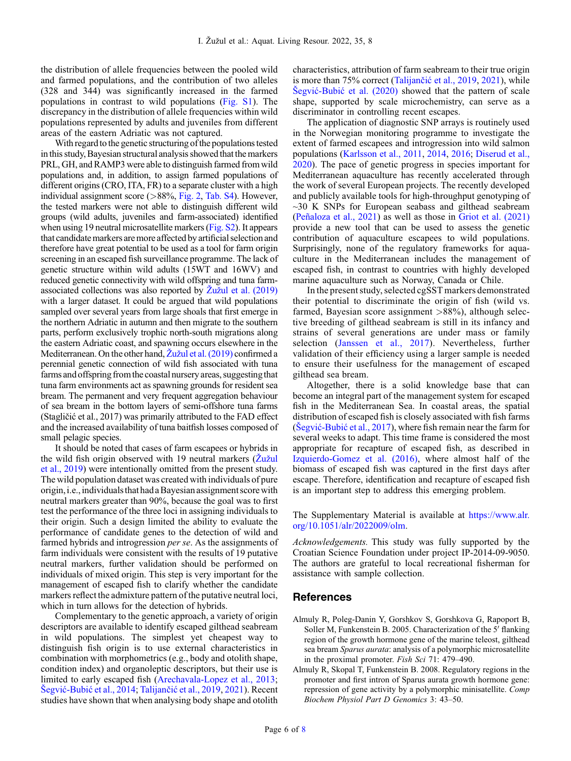<span id="page-5-0"></span>the distribution of allele frequencies between the pooled wild and farmed populations, and the contribution of two alleles (328 and 344) was significantly increased in the farmed populations in contrast to wild populations ([Fig. S1\)](#page-2-0). The discrepancy in the distribution of allele frequencies within wild populations represented by adults and juveniles from different areas of the eastern Adriatic was not captured.

With regard to the genetic structuring of the populations tested in this study, Bayesian structural analysis showed that the markers PRL, GH, and RAMP3 were able to distinguish farmed from wild populations and, in addition, to assign farmed populations of different origins (CRO, ITA, FR) to a separate cluster with a high individual assignment score (>88%, [Fig. 2](#page-4-0), [Tab. S4](#page-3-0)). However, the tested markers were not able to distinguish different wild groups (wild adults, juveniles and farm-associated) identified when using 19 neutral microsatellite markers [\(Fig. S2](#page-4-0)). It appears that candidate markers are more affected by artificial selection and therefore have great potential to be used as a tool for farm origin screening in an escaped fish surveillance programme. The lack of genetic structure within wild adults (15WT and 16WV) and reduced genetic connectivity with wild offspring and tuna farmassociated collections was also reported by  $\bar{Z}$ už[ul et al. \(2019\)](#page-7-0) with a larger dataset. It could be argued that wild populations sampled over several years from large shoals that first emerge in the northern Adriatic in autumn and then migrate to the southern parts, perform exclusively trophic north-south migrations along the eastern Adriatic coast, and spawning occurs elsewhere in the Mediterranean. On the other hand, Žuž[ul et al. \(2019\)](#page-7-0) confirmed a perennial genetic connection of wild fish associated with tuna farms and offspring from the coastal nursery areas, suggesting that tuna farm environments act as spawning grounds for resident sea bream. The permanent and very frequent aggregation behaviour of sea bream in the bottom layers of semi-offshore tuna farms (Stagličić et al., 2017) was primarily attributed to the FAD effect and the increased availability of tuna baitfish losses composed of small pelagic species.

It should be noted that cases of farm escapees or hybrids in the wild fish origin observed with 19 neutral markers (Žuž[ul](#page-7-0) [et al., 2019\)](#page-7-0) were intentionally omitted from the present study. The wild population dataset was created with individuals of pure origin, i.e., individuals that had a Bayesian assignment score with neutral markers greater than 90%, because the goal was to first test the performance of the three loci in assigning individuals to their origin. Such a design limited the ability to evaluate the performance of candidate genes to the detection of wild and farmed hybrids and introgression per se. As the assignments of farm individuals were consistent with the results of 19 putative neutral markers, further validation should be performed on individuals of mixed origin. This step is very important for the management of escaped fish to clarify whether the candidate markers reflect the admixture pattern of the putative neutral loci, which in turn allows for the detection of hybrids.

Complementary to the genetic approach, a variety of origin descriptors are available to identify escaped gilthead seabream in wild populations. The simplest yet cheapest way to distinguish fish origin is to use external characteristics in combination with morphometrics (e.g., body and otolith shape, condition index) and organoleptic descriptors, but their use is limited to early escaped fish [\(Arechavala-Lopez et al., 2013](#page-6-0); Šegvić-Bubić [et al., 2014;](#page-7-0) Talijančić [et al., 2019](#page-7-0), [2021\)](#page-7-0). Recent studies have shown that when analysing body shape and otolith characteristics, attribution of farm seabream to their true origin is more than 75% correct (Talijančić [et al., 2019](#page-7-0), [2021](#page-7-0)), while Šegvić-Bubić [et al. \(2020\)](#page-7-0) showed that the pattern of scale shape, supported by scale microchemistry, can serve as a discriminator in controlling recent escapes.

The application of diagnostic SNP arrays is routinely used in the Norwegian monitoring programme to investigate the extent of farmed escapees and introgression into wild salmon populations ([Karlsson et al., 2011,](#page-6-0) [2014,](#page-6-0) [2016;](#page-7-0) [Diserud et al.,](#page-6-0) [2020](#page-6-0)). The pace of genetic progress in species important for Mediterranean aquaculture has recently accelerated through the work of several European projects. The recently developed and publicly available tools for high-throughput genotyping of  $\sim$ 30 K SNPs for European seabass and gilthead seabream ([Peñaloza et al., 2021\)](#page-7-0) as well as those in [Griot et al. \(2021\)](#page-6-0) provide a new tool that can be used to assess the genetic contribution of aquaculture escapees to wild populations. Surprisingly, none of the regulatory frameworks for aquaculture in the Mediterranean includes the management of escaped fish, in contrast to countries with highly developed marine aquaculture such as Norway, Canada or Chile.

In the present study, selected cgSST markers demonstrated their potential to discriminate the origin of fish (wild vs. farmed, Bayesian score assignment  $>88\%$ ), although selective breeding of gilthead seabream is still in its infancy and strains of several generations are under mass or family selection ([Janssen et al., 2017](#page-6-0)). Nevertheless, further validation of their efficiency using a larger sample is needed to ensure their usefulness for the management of escaped gilthead sea bream.

Altogether, there is a solid knowledge base that can become an integral part of the management system for escaped fish in the Mediterranean Sea. In coastal areas, the spatial distribution of escaped fish is closely associated with fish farms (Šegvić-Bubić [et al., 2017\)](#page-7-0), where fish remain near the farm for several weeks to adapt. This time frame is considered the most appropriate for recapture of escaped fish, as described in [Izquierdo-Gomez et al. \(2016\),](#page-6-0) where almost half of the biomass of escaped fish was captured in the first days after escape. Therefore, identification and recapture of escaped fish is an important step to address this emerging problem.

The Supplementary Material is available at [https://www.alr.](https://www.alr.org/10.1051/alr/2022009/olm) [org/10.1051/alr/2022009/olm.](https://www.alr.org/10.1051/alr/2022009/olm)

Acknowledgements. This study was fully supported by the Croatian Science Foundation under project IP-2014-09-9050. The authors are grateful to local recreational fisherman for assistance with sample collection.

## References

- Almuly R, Poleg-Danin Y, Gorshkov S, Gorshkova G, Rapoport B, Soller M, Funkenstein B. 2005. Characterization of the 5' flanking region of the growth hormone gene of the marine teleost, gilthead sea bream Sparus aurata: analysis of a polymorphic microsatellite in the proximal promoter. Fish Sci 71: 479–490.
- Almuly R, Skopal T, Funkenstein B. 2008. Regulatory regions in the promoter and first intron of Sparus aurata growth hormone gene: repression of gene activity by a polymorphic minisatellite. Comp Biochem Physiol Part D Genomics 3: 43–50.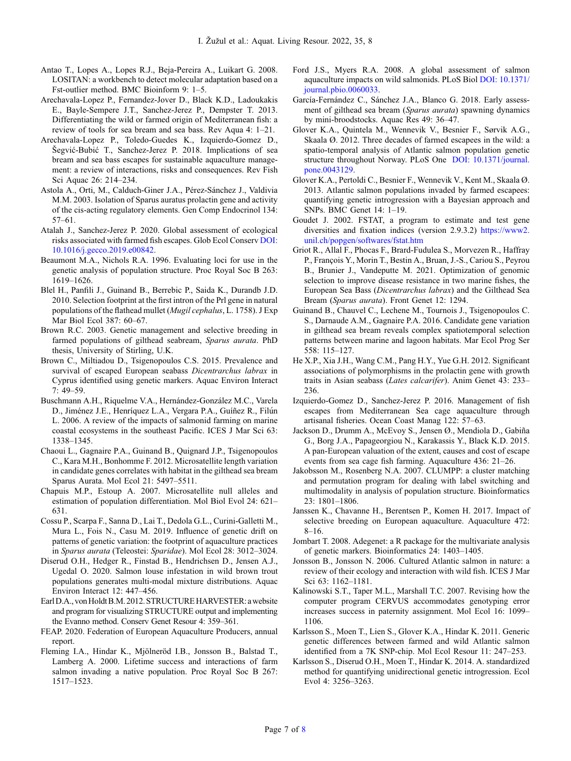- <span id="page-6-0"></span>Antao T., Lopes A., Lopes R.J., Beja-Pereira A., Luikart G. 2008. LOSITAN: a workbench to detect molecular adaptation based on a Fst-outlier method. BMC Bioinform 9: 1–5.
- Arechavala-Lopez P., Fernandez-Jover D., Black K.D., Ladoukakis E., Bayle-Sempere J.T., Sanchez-Jerez P., Dempster T. 2013. Differentiating the wild or farmed origin of Mediterranean fish: a review of tools for sea bream and sea bass. Rev Aqua 4: 1–21.
- Arechavala-Lopez P., Toledo-Guedes K., Izquierdo-Gomez D., Šegvić-Bubić T., Sanchez-Jerez P. 2018. Implications of sea bream and sea bass escapes for sustainable aquaculture management: a review of interactions, risks and consequences. Rev Fish Sci Aquac 26: 214–234.
- Astola A., Orti, M., Calduch-Giner J.A., Pérez-Sánchez J., Valdivia M.M. 2003. Isolation of Sparus auratus prolactin gene and activity of the cis-acting regulatory elements. Gen Comp Endocrinol 134: 57–61.
- Atalah J., Sanchez-Jerez P. 2020. Global assessment of ecological risks associated with farmed fish escapes. Glob Ecol Conserv [DOI:](https://doi.org/10.1016/j.gecco.2019.e00842) [10.1016/j.gecco.2019.e00842.](https://doi.org/10.1016/j.gecco.2019.e00842)
- Beaumont M.A., Nichols R.A. 1996. Evaluating loci for use in the genetic analysis of population structure. Proc Royal Soc B 263: 1619–1626.
- Blel H., Panfili J., Guinand B., Berrebic P., Saida K., Durandb J.D. 2010. Selection footprint at the first intron of the Prl gene in natural populations of the flathead mullet (Mugil cephalus, L. 1758). J Exp Mar Biol Ecol 387: 60–67.
- Brown R.C. 2003. Genetic management and selective breeding in farmed populations of gilthead seabream, Sparus aurata. PhD thesis, University of Stirling, U.K.
- Brown C., Miltiadou D., Tsigenopoulos C.S. 2015. Prevalence and survival of escaped European seabass Dicentrarchus labrax in Cyprus identified using genetic markers. Aquac Environ Interact 7: 49–59.
- Buschmann A.H., Riquelme V.A., Hernández-González M.C., Varela D., Jiménez J.E., Henríquez L.A., Vergara P.A., Guíñez R., Filún L. 2006. A review of the impacts of salmonid farming on marine coastal ecosystems in the southeast Pacific. ICES J Mar Sci 63: 1338–1345.
- Chaoui L., Gagnaire P.A., Guinand B., Quignard J.P., Tsigenopoulos C., Kara M.H., Bonhomme F. 2012. Microsatellite length variation in candidate genes correlates with habitat in the gilthead sea bream Sparus Aurata. Mol Ecol 21: 5497–5511.
- Chapuis M.P., Estoup A. 2007. Microsatellite null alleles and estimation of population differentiation. Mol Biol Evol 24: 621– 631.
- Cossu P., Scarpa F., Sanna D., Lai T., Dedola G.L., Curini-Galletti M., Mura L., Fois N., Casu M. 2019. Influence of genetic drift on patterns of genetic variation: the footprint of aquaculture practices in Sparus aurata (Teleostei: Sparidae). Mol Ecol 28: 3012–3024.
- Diserud O.H., Hedger R., Finstad B., Hendrichsen D., Jensen A.J., Ugedal O. 2020. Salmon louse infestation in wild brown trout populations generates multi-modal mixture distributions. Aquac Environ Interact 12: 447–456.
- Earl D.A., von Holdt B.M. 2012. STRUCTURE HARVESTER: a website and program for visualizing STRUCTURE output and implementing the Evanno method. Conserv Genet Resour 4: 359–361.
- FEAP. 2020. Federation of European Aquaculture Producers, annual report.
- Fleming I.A., Hindar K., Mjölneröd I.B., Jonsson B., Balstad T., Lamberg A. 2000. Lifetime success and interactions of farm salmon invading a native population. Proc Royal Soc B 267: 1517–1523.
- Ford J.S., Myers R.A. 2008. A global assessment of salmon aquaculture impacts on wild salmonids. PLoS Biol [DOI: 10.1371/](https://doi.org/10.1371/journal.pbio.0060033) [journal.pbio.0060033.](https://doi.org/10.1371/journal.pbio.0060033)
- García-Fernández C., Sánchez J.A., Blanco G. 2018. Early assessment of gilthead sea bream (Sparus aurata) spawning dynamics by mini-broodstocks. Aquac Res 49: 36–47.
- Glover K.A., Quintela M., Wennevik V., Besnier F., Sørvik A.G., Skaala Ø. 2012. Three decades of farmed escapees in the wild: a spatio-temporal analysis of Atlantic salmon population genetic structure throughout Norway. PLoS One [DOI: 10.1371/journal.](https://doi.org/10.1371/journal.pone.0043129) [pone.0043129](https://doi.org/10.1371/journal.pone.0043129).
- Glover K.A., Pertoldi C., Besnier F., Wennevik V., Kent M., Skaala Ø. 2013. Atlantic salmon populations invaded by farmed escapees: quantifying genetic introgression with a Bayesian approach and SNPs. BMC Genet 14: 1–19.
- Goudet J. 2002. FSTAT, a program to estimate and test gene diversities and fixation indices (version 2.9.3.2) [https://www2.](https://www2.unil.ch/popgen/softwares/fstat.htm) [unil.ch/popgen/softwares/fstat.htm](https://www2.unil.ch/popgen/softwares/fstat.htm)
- Griot R., Allal F., Phocas F., Brard-Fudulea S., Morvezen R., Haffray P., François Y., Morin T., Bestin A., Bruan, J.-S., Cariou S., Peyrou B., Brunier J., Vandeputte M. 2021. Optimization of genomic selection to improve disease resistance in two marine fishes, the European Sea Bass (Dicentrarchus labrax) and the Gilthead Sea Bream (Sparus aurata). Front Genet 12: 1294.
- Guinand B., Chauvel C., Lechene M., Tournois J., Tsigenopoulos C. S., Darnaude A.M., Gagnaire P.A. 2016. Candidate gene variation in gilthead sea bream reveals complex spatiotemporal selection patterns between marine and lagoon habitats. Mar Ecol Prog Ser 558: 115–127.
- He X.P., Xia J.H., Wang C.M., Pang H.Y., Yue G.H. 2012. Significant associations of polymorphisms in the prolactin gene with growth traits in Asian seabass (Lates calcarifer). Anim Genet 43: 233– 236.
- Izquierdo-Gomez D., Sanchez-Jerez P. 2016. Management of fish escapes from Mediterranean Sea cage aquaculture through artisanal fisheries. Ocean Coast Manag 122: 57–63.
- Jackson D., Drumm A., McEvoy S., Jensen Ø., Mendiola D., Gabiña G., Borg J.A., Papageorgiou N., Karakassis Y., Black K.D. 2015. A pan-European valuation of the extent, causes and cost of escape events from sea cage fish farming. Aquaculture 436: 21–26.
- Jakobsson M., Rosenberg N.A. 2007. CLUMPP: a cluster matching and permutation program for dealing with label switching and multimodality in analysis of population structure. Bioinformatics 23: 1801–1806.
- Janssen K., Chavanne H., Berentsen P., Komen H. 2017. Impact of selective breeding on European aquaculture. Aquaculture 472: 8–16.
- Jombart T. 2008. Adegenet: a R package for the multivariate analysis of genetic markers. Bioinformatics 24: 1403–1405.
- Jonsson B., Jonsson N. 2006. Cultured Atlantic salmon in nature: a review of their ecology and interaction with wild fish. ICES J Mar Sci 63: 1162–1181.
- Kalinowski S.T., Taper M.L., Marshall T.C. 2007. Revising how the computer program CERVUS accommodates genotyping error increases success in paternity assignment. Mol Ecol 16: 1099– 1106.
- Karlsson S., Moen T., Lien S., Glover K.A., Hindar K. 2011. Generic genetic differences between farmed and wild Atlantic salmon identified from a 7K SNP-chip. Mol Ecol Resour 11: 247–253.
- Karlsson S., Diserud O.H., Moen T., Hindar K. 2014. A. standardized method for quantifying unidirectional genetic introgression. Ecol Evol 4: 3256–3263.